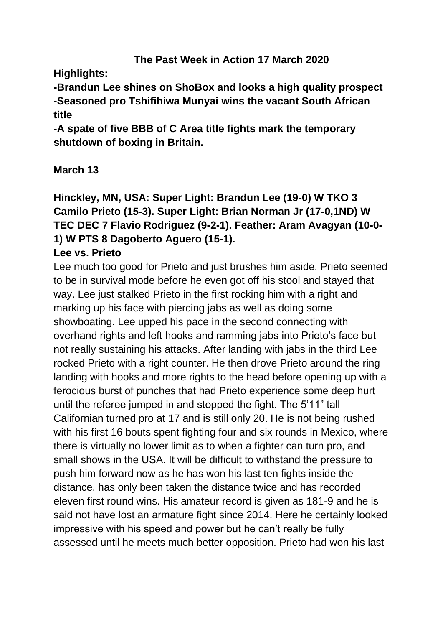## **The Past Week in Action 17 March 2020**

**Highlights:**

**-Brandun Lee shines on ShoBox and looks a high quality prospect -Seasoned pro Tshifihiwa Munyai wins the vacant South African title**

**-A spate of five BBB of C Area title fights mark the temporary shutdown of boxing in Britain.** 

## **March 13**

**Hinckley, MN, USA: Super Light: Brandun Lee (19-0) W TKO 3 Camilo Prieto (15-3). Super Light: Brian Norman Jr (17-0,1ND) W TEC DEC 7 Flavio Rodriguez (9-2-1). Feather: Aram Avagyan (10-0- 1) W PTS 8 Dagoberto Aguero (15-1).** 

## **Lee vs. Prieto**

Lee much too good for Prieto and just brushes him aside. Prieto seemed to be in survival mode before he even got off his stool and stayed that way. Lee just stalked Prieto in the first rocking him with a right and marking up his face with piercing jabs as well as doing some showboating. Lee upped his pace in the second connecting with overhand rights and left hooks and ramming jabs into Prieto's face but not really sustaining his attacks. After landing with jabs in the third Lee rocked Prieto with a right counter. He then drove Prieto around the ring landing with hooks and more rights to the head before opening up with a ferocious burst of punches that had Prieto experience some deep hurt until the referee jumped in and stopped the fight. The 5'11" tall Californian turned pro at 17 and is still only 20. He is not being rushed with his first 16 bouts spent fighting four and six rounds in Mexico, where there is virtually no lower limit as to when a fighter can turn pro, and small shows in the USA. It will be difficult to withstand the pressure to push him forward now as he has won his last ten fights inside the distance, has only been taken the distance twice and has recorded eleven first round wins. His amateur record is given as 181-9 and he is said not have lost an armature fight since 2014. Here he certainly looked impressive with his speed and power but he can't really be fully assessed until he meets much better opposition. Prieto had won his last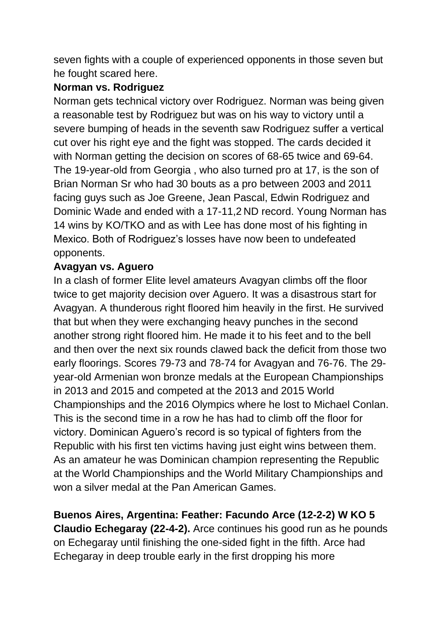seven fights with a couple of experienced opponents in those seven but he fought scared here.

## **Norman vs. Rodriguez**

Norman gets technical victory over Rodriguez. Norman was being given a reasonable test by Rodriguez but was on his way to victory until a severe bumping of heads in the seventh saw Rodriguez suffer a vertical cut over his right eye and the fight was stopped. The cards decided it with Norman getting the decision on scores of 68-65 twice and 69-64. The 19-year-old from Georgia , who also turned pro at 17, is the son of Brian Norman Sr who had 30 bouts as a pro between 2003 and 2011 facing guys such as Joe Greene, Jean Pascal, Edwin Rodriguez and Dominic Wade and ended with a 17-11,2 ND record. Young Norman has 14 wins by KO/TKO and as with Lee has done most of his fighting in Mexico. Both of Rodriguez's losses have now been to undefeated opponents.

## **Avagyan vs. Aguero**

In a clash of former Elite level amateurs Avagyan climbs off the floor twice to get majority decision over Aguero. It was a disastrous start for Avagyan. A thunderous right floored him heavily in the first. He survived that but when they were exchanging heavy punches in the second another strong right floored him. He made it to his feet and to the bell and then over the next six rounds clawed back the deficit from those two early floorings. Scores 79-73 and 78-74 for Avagyan and 76-76. The 29 year-old Armenian won bronze medals at the European Championships in 2013 and 2015 and competed at the 2013 and 2015 World Championships and the 2016 Olympics where he lost to Michael Conlan. This is the second time in a row he has had to climb off the floor for victory. Dominican Aguero's record is so typical of fighters from the Republic with his first ten victims having just eight wins between them. As an amateur he was Dominican champion representing the Republic at the World Championships and the World Military Championships and won a silver medal at the Pan American Games.

**Buenos Aires, Argentina: Feather: Facundo Arce (12-2-2) W KO 5 Claudio Echegaray (22-4-2).** Arce continues his good run as he pounds on Echegaray until finishing the one-sided fight in the fifth. Arce had Echegaray in deep trouble early in the first dropping his more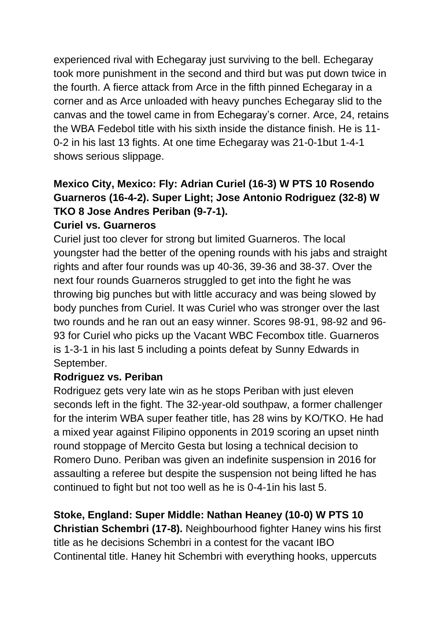experienced rival with Echegaray just surviving to the bell. Echegaray took more punishment in the second and third but was put down twice in the fourth. A fierce attack from Arce in the fifth pinned Echegaray in a corner and as Arce unloaded with heavy punches Echegaray slid to the canvas and the towel came in from Echegaray's corner. Arce, 24, retains the WBA Fedebol title with his sixth inside the distance finish. He is 11- 0-2 in his last 13 fights. At one time Echegaray was 21-0-1but 1-4-1 shows serious slippage.

# **Mexico City, Mexico: Fly: Adrian Curiel (16-3) W PTS 10 Rosendo Guarneros (16-4-2). Super Light; Jose Antonio Rodriguez (32-8) W TKO 8 Jose Andres Periban (9-7-1).**

#### **Curiel vs. Guarneros**

Curiel just too clever for strong but limited Guarneros. The local youngster had the better of the opening rounds with his jabs and straight rights and after four rounds was up 40-36, 39-36 and 38-37. Over the next four rounds Guarneros struggled to get into the fight he was throwing big punches but with little accuracy and was being slowed by body punches from Curiel. It was Curiel who was stronger over the last two rounds and he ran out an easy winner. Scores 98-91, 98-92 and 96- 93 for Curiel who picks up the Vacant WBC Fecombox title. Guarneros is 1-3-1 in his last 5 including a points defeat by Sunny Edwards in September.

#### **Rodriguez vs. Periban**

Rodriguez gets very late win as he stops Periban with just eleven seconds left in the fight. The 32-year-old southpaw, a former challenger for the interim WBA super feather title, has 28 wins by KO/TKO. He had a mixed year against Filipino opponents in 2019 scoring an upset ninth round stoppage of Mercito Gesta but losing a technical decision to Romero Duno. Periban was given an indefinite suspension in 2016 for assaulting a referee but despite the suspension not being lifted he has continued to fight but not too well as he is 0-4-1in his last 5.

## **Stoke, England: Super Middle: Nathan Heaney (10-0) W PTS 10**

**Christian Schembri (17-8).** Neighbourhood fighter Haney wins his first title as he decisions Schembri in a contest for the vacant IBO Continental title. Haney hit Schembri with everything hooks, uppercuts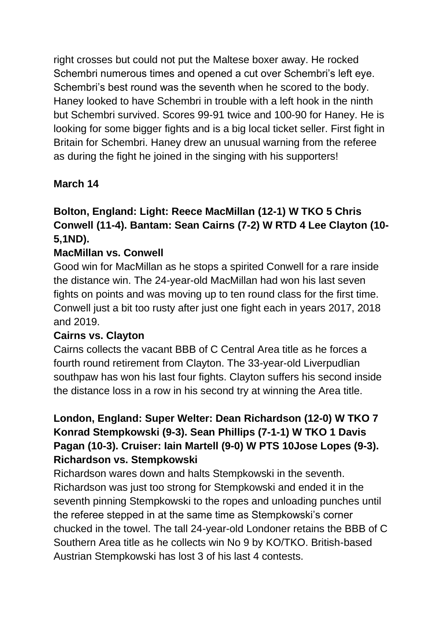right crosses but could not put the Maltese boxer away. He rocked Schembri numerous times and opened a cut over Schembri's left eye. Schembri's best round was the seventh when he scored to the body. Haney looked to have Schembri in trouble with a left hook in the ninth but Schembri survived. Scores 99-91 twice and 100-90 for Haney. He is looking for some bigger fights and is a big local ticket seller. First fight in Britain for Schembri. Haney drew an unusual warning from the referee as during the fight he joined in the singing with his supporters!

## **March 14**

# **Bolton, England: Light: Reece MacMillan (12-1) W TKO 5 Chris Conwell (11-4). Bantam: Sean Cairns (7-2) W RTD 4 Lee Clayton (10- 5,1ND).**

## **MacMillan vs. Conwell**

Good win for MacMillan as he stops a spirited Conwell for a rare inside the distance win. The 24-year-old MacMillan had won his last seven fights on points and was moving up to ten round class for the first time. Conwell just a bit too rusty after just one fight each in years 2017, 2018 and 2019.

## **Cairns vs. Clayton**

Cairns collects the vacant BBB of C Central Area title as he forces a fourth round retirement from Clayton. The 33-year-old Liverpudlian southpaw has won his last four fights. Clayton suffers his second inside the distance loss in a row in his second try at winning the Area title.

## **London, England: Super Welter: Dean Richardson (12-0) W TKO 7 Konrad Stempkowski (9-3). Sean Phillips (7-1-1) W TKO 1 Davis Pagan (10-3). Cruiser: Iain Martell (9-0) W PTS 10Jose Lopes (9-3). Richardson vs. Stempkowski**

Richardson wares down and halts Stempkowski in the seventh. Richardson was just too strong for Stempkowski and ended it in the seventh pinning Stempkowski to the ropes and unloading punches until the referee stepped in at the same time as Stempkowski's corner chucked in the towel. The tall 24-year-old Londoner retains the BBB of C Southern Area title as he collects win No 9 by KO/TKO. British-based Austrian Stempkowski has lost 3 of his last 4 contests.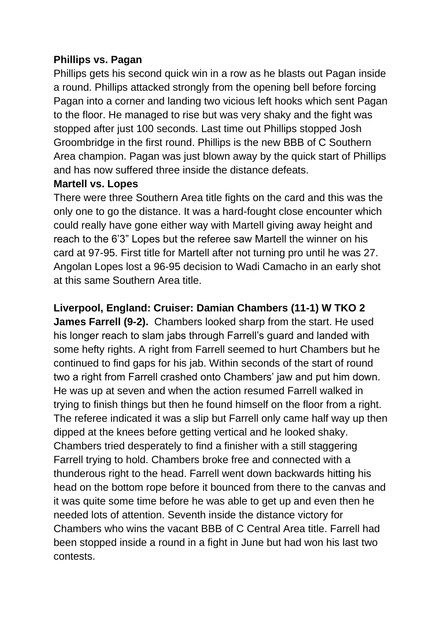#### **Phillips vs. Pagan**

Phillips gets his second quick win in a row as he blasts out Pagan inside a round. Phillips attacked strongly from the opening bell before forcing Pagan into a corner and landing two vicious left hooks which sent Pagan to the floor. He managed to rise but was very shaky and the fight was stopped after just 100 seconds. Last time out Phillips stopped Josh Groombridge in the first round. Phillips is the new BBB of C Southern Area champion. Pagan was just blown away by the quick start of Phillips and has now suffered three inside the distance defeats.

#### **Martell vs. Lopes**

There were three Southern Area title fights on the card and this was the only one to go the distance. It was a hard-fought close encounter which could really have gone either way with Martell giving away height and reach to the 6'3" Lopes but the referee saw Martell the winner on his card at 97-95. First title for Martell after not turning pro until he was 27. Angolan Lopes lost a 96-95 decision to Wadi Camacho in an early shot at this same Southern Area title.

## **Liverpool, England: Cruiser: Damian Chambers (11-1) W TKO 2**

**James Farrell (9-2).** Chambers looked sharp from the start. He used his longer reach to slam jabs through Farrell's guard and landed with some hefty rights. A right from Farrell seemed to hurt Chambers but he continued to find gaps for his jab. Within seconds of the start of round two a right from Farrell crashed onto Chambers' jaw and put him down. He was up at seven and when the action resumed Farrell walked in trying to finish things but then he found himself on the floor from a right. The referee indicated it was a slip but Farrell only came half way up then dipped at the knees before getting vertical and he looked shaky. Chambers tried desperately to find a finisher with a still staggering Farrell trying to hold. Chambers broke free and connected with a thunderous right to the head. Farrell went down backwards hitting his head on the bottom rope before it bounced from there to the canvas and it was quite some time before he was able to get up and even then he needed lots of attention. Seventh inside the distance victory for Chambers who wins the vacant BBB of C Central Area title. Farrell had been stopped inside a round in a fight in June but had won his last two contests.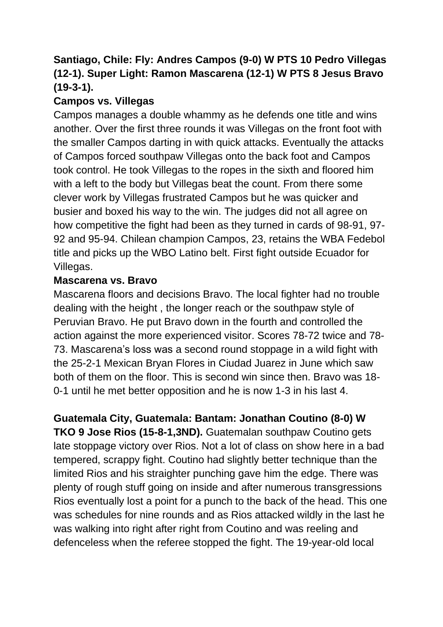## **Santiago, Chile: Fly: Andres Campos (9-0) W PTS 10 Pedro Villegas (12-1). Super Light: Ramon Mascarena (12-1) W PTS 8 Jesus Bravo (19-3-1).**

## **Campos vs. Villegas**

Campos manages a double whammy as he defends one title and wins another. Over the first three rounds it was Villegas on the front foot with the smaller Campos darting in with quick attacks. Eventually the attacks of Campos forced southpaw Villegas onto the back foot and Campos took control. He took Villegas to the ropes in the sixth and floored him with a left to the body but Villegas beat the count. From there some clever work by Villegas frustrated Campos but he was quicker and busier and boxed his way to the win. The judges did not all agree on how competitive the fight had been as they turned in cards of 98-91, 97- 92 and 95-94. Chilean champion Campos, 23, retains the WBA Fedebol title and picks up the WBO Latino belt. First fight outside Ecuador for Villegas.

## **Mascarena vs. Bravo**

Mascarena floors and decisions Bravo. The local fighter had no trouble dealing with the height , the longer reach or the southpaw style of Peruvian Bravo. He put Bravo down in the fourth and controlled the action against the more experienced visitor. Scores 78-72 twice and 78- 73. Mascarena's loss was a second round stoppage in a wild fight with the 25-2-1 Mexican Bryan Flores in Ciudad Juarez in June which saw both of them on the floor. This is second win since then. Bravo was 18- 0-1 until he met better opposition and he is now 1-3 in his last 4.

**Guatemala City, Guatemala: Bantam: Jonathan Coutino (8-0) W TKO 9 Jose Rios (15-8-1,3ND).** Guatemalan southpaw Coutino gets late stoppage victory over Rios. Not a lot of class on show here in a bad tempered, scrappy fight. Coutino had slightly better technique than the limited Rios and his straighter punching gave him the edge. There was plenty of rough stuff going on inside and after numerous transgressions Rios eventually lost a point for a punch to the back of the head. This one was schedules for nine rounds and as Rios attacked wildly in the last he was walking into right after right from Coutino and was reeling and defenceless when the referee stopped the fight. The 19-year-old local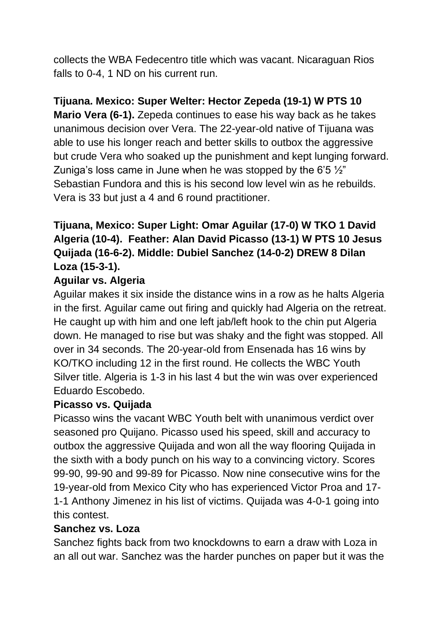collects the WBA Fedecentro title which was vacant. Nicaraguan Rios falls to 0-4, 1 ND on his current run.

## **Tijuana. Mexico: Super Welter: Hector Zepeda (19-1) W PTS 10**

**Mario Vera (6-1).** Zepeda continues to ease his way back as he takes unanimous decision over Vera. The 22-year-old native of Tijuana was able to use his longer reach and better skills to outbox the aggressive but crude Vera who soaked up the punishment and kept lunging forward. Zuniga's loss came in June when he was stopped by the 6'5  $\frac{1}{2}$ " Sebastian Fundora and this is his second low level win as he rebuilds. Vera is 33 but just a 4 and 6 round practitioner.

## **Tijuana, Mexico: Super Light: Omar Aguilar (17-0) W TKO 1 David Algeria (10-4). Feather: Alan David Picasso (13-1) W PTS 10 Jesus Quijada (16-6-2). Middle: Dubiel Sanchez (14-0-2) DREW 8 Dilan Loza (15-3-1).**

## **Aguilar vs. Algeria**

Aguilar makes it six inside the distance wins in a row as he halts Algeria in the first. Aguilar came out firing and quickly had Algeria on the retreat. He caught up with him and one left jab/left hook to the chin put Algeria down. He managed to rise but was shaky and the fight was stopped. All over in 34 seconds. The 20-year-old from Ensenada has 16 wins by KO/TKO including 12 in the first round. He collects the WBC Youth Silver title. Algeria is 1-3 in his last 4 but the win was over experienced Eduardo Escobedo.

#### **Picasso vs. Quijada**

Picasso wins the vacant WBC Youth belt with unanimous verdict over seasoned pro Quijano. Picasso used his speed, skill and accuracy to outbox the aggressive Quijada and won all the way flooring Quijada in the sixth with a body punch on his way to a convincing victory. Scores 99-90, 99-90 and 99-89 for Picasso. Now nine consecutive wins for the 19-year-old from Mexico City who has experienced Victor Proa and 17- 1-1 Anthony Jimenez in his list of victims. Quijada was 4-0-1 going into this contest.

#### **Sanchez vs. Loza**

Sanchez fights back from two knockdowns to earn a draw with Loza in an all out war. Sanchez was the harder punches on paper but it was the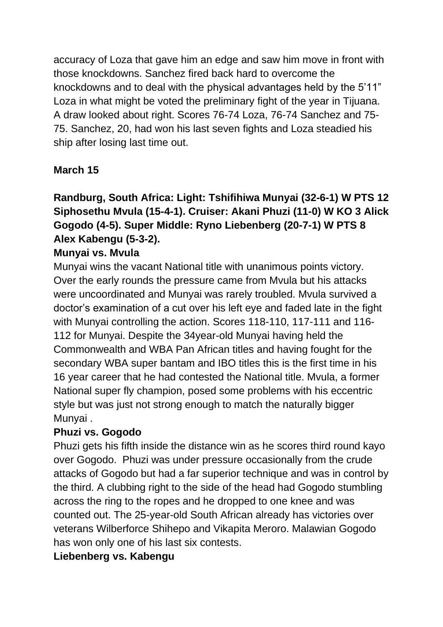accuracy of Loza that gave him an edge and saw him move in front with those knockdowns. Sanchez fired back hard to overcome the knockdowns and to deal with the physical advantages held by the 5'11" Loza in what might be voted the preliminary fight of the year in Tijuana. A draw looked about right. Scores 76-74 Loza, 76-74 Sanchez and 75- 75. Sanchez, 20, had won his last seven fights and Loza steadied his ship after losing last time out.

## **March 15**

# **Randburg, South Africa: Light: Tshifihiwa Munyai (32-6-1) W PTS 12 Siphosethu Mvula (15-4-1). Cruiser: Akani Phuzi (11-0) W KO 3 Alick Gogodo (4-5). Super Middle: Ryno Liebenberg (20-7-1) W PTS 8 Alex Kabengu (5-3-2).**

## **Munyai vs. Mvula**

Munyai wins the vacant National title with unanimous points victory. Over the early rounds the pressure came from Mvula but his attacks were uncoordinated and Munyai was rarely troubled. Mvula survived a doctor's examination of a cut over his left eye and faded late in the fight with Munyai controlling the action. Scores 118-110, 117-111 and 116- 112 for Munyai. Despite the 34year-old Munyai having held the Commonwealth and WBA Pan African titles and having fought for the secondary WBA super bantam and IBO titles this is the first time in his 16 year career that he had contested the National title. Mvula, a former National super fly champion, posed some problems with his eccentric style but was just not strong enough to match the naturally bigger Munyai .

## **Phuzi vs. Gogodo**

Phuzi gets his fifth inside the distance win as he scores third round kayo over Gogodo. Phuzi was under pressure occasionally from the crude attacks of Gogodo but had a far superior technique and was in control by the third. A clubbing right to the side of the head had Gogodo stumbling across the ring to the ropes and he dropped to one knee and was counted out. The 25-year-old South African already has victories over veterans Wilberforce Shihepo and Vikapita Meroro. Malawian Gogodo has won only one of his last six contests.

## **Liebenberg vs. Kabengu**